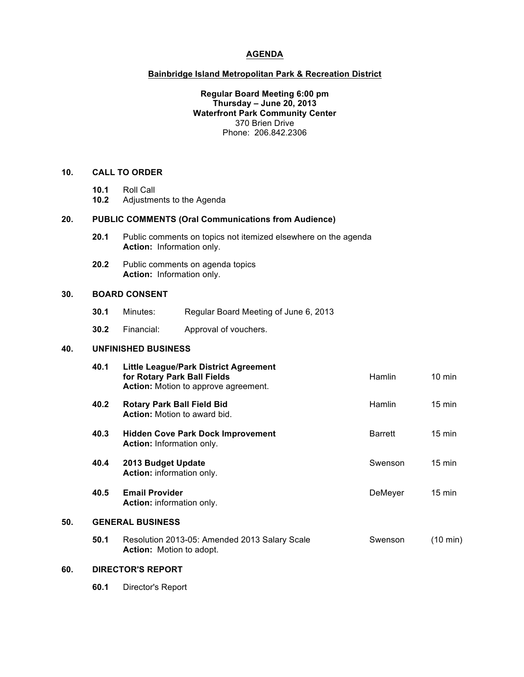#### **AGENDA**

# **Bainbridge Island Metropolitan Park & Recreation District**

# **Regular Board Meeting 6:00 pm Thursday – June 20, 2013 Waterfront Park Community Center** 370 Brien Drive Phone: 206.842.2306

# **10. CALL TO ORDER**

- **10.1** Roll Call
- **10.2** Adjustments to the Agenda

#### **20. PUBLIC COMMENTS (Oral Communications from Audience)**

- **20.1** Public comments on topics not itemized elsewhere on the agenda **Action:** Information only.
- **20.2** Public comments on agenda topics **Action:** Information only.

# **30. BOARD CONSENT**

- **30.1** Minutes: Regular Board Meeting of June 6, 2013
- **30.2** Financial: Approval of vouchers.

# **40. UNFINISHED BUSINESS**

|     | 40.1                    | <b>Little League/Park District Agreement</b><br>for Rotary Park Ball Fields<br><b>Action:</b> Motion to approve agreement. | <b>Hamlin</b>  | $10 \text{ min}$ |  |  |
|-----|-------------------------|----------------------------------------------------------------------------------------------------------------------------|----------------|------------------|--|--|
|     | 40.2                    | <b>Rotary Park Ball Field Bid</b><br><b>Action:</b> Motion to award bid.                                                   | Hamlin         | $15 \text{ min}$ |  |  |
|     | 40.3                    | <b>Hidden Cove Park Dock Improvement</b><br>Action: Information only.                                                      | <b>Barrett</b> | $15 \text{ min}$ |  |  |
|     | 40.4                    | 2013 Budget Update<br>Action: information only.                                                                            | Swenson        | $15 \text{ min}$ |  |  |
|     | 40.5                    | <b>Email Provider</b><br><b>Action:</b> information only.                                                                  | DeMeyer        | $15 \text{ min}$ |  |  |
| 50. | <b>GENERAL BUSINESS</b> |                                                                                                                            |                |                  |  |  |
|     | 50.1                    | Resolution 2013-05: Amended 2013 Salary Scale<br><b>Action:</b> Motion to adopt.                                           | Swenson        | (10 min)         |  |  |

# **60. DIRECTOR'S REPORT**

**60.1** Director's Report